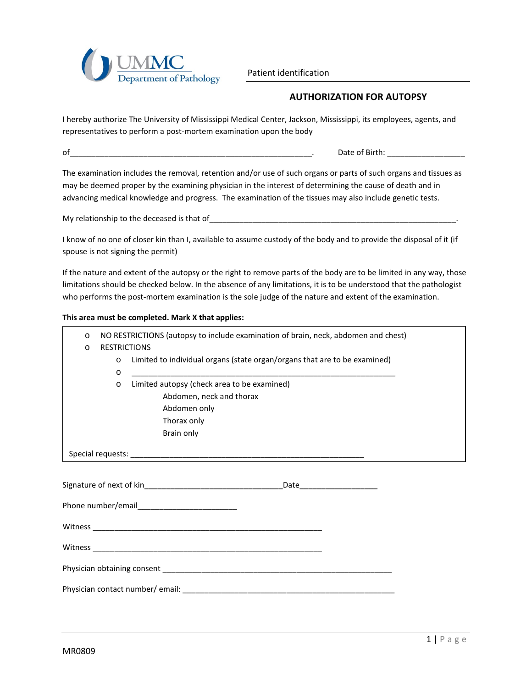

Patient identification

## **AUTHORIZATION FOR AUTOPSY**

I hereby authorize The University of Mississippi Medical Center, Jackson, Mississippi, its employees, agents, and representatives to perform a post-mortem examination upon the body

of\_\_\_\_\_\_\_\_\_\_\_\_\_\_\_\_\_\_\_\_\_\_\_\_\_\_\_\_\_\_\_\_\_\_\_\_\_\_\_\_\_\_\_\_\_\_\_\_\_\_\_\_\_\_\_\_. Date of Birth: \_\_\_\_\_\_\_\_\_\_\_\_\_\_\_\_\_\_

The examination includes the removal, retention and/or use of such organs or parts of such organs and tissues as may be deemed proper by the examining physician in the interest of determining the cause of death and in advancing medical knowledge and progress. The examination of the tissues may also include genetic tests.

My relationship to the deceased is that of\_\_\_\_\_\_\_\_\_\_\_\_\_\_\_\_\_\_\_\_\_\_\_\_\_\_\_\_\_\_\_\_\_\_\_\_\_\_\_\_\_\_\_\_\_\_\_\_\_\_\_\_\_\_\_\_\_.

I know of no one of closer kin than I, available to assume custody of the body and to provide the disposal of it (if spouse is not signing the permit)

If the nature and extent of the autopsy or the right to remove parts of the body are to be limited in any way, those limitations should be checked below. In the absence of any limitations, it is to be understood that the pathologist who performs the post-mortem examination is the sole judge of the nature and extent of the examination.

## **This area must be completed. Mark X that applies:**

| $\circ$<br>$\circ$ | <b>RESTRICTIONS</b> | NO RESTRICTIONS (autopsy to include examination of brain, neck, abdomen and chest)                                                     |
|--------------------|---------------------|----------------------------------------------------------------------------------------------------------------------------------------|
|                    | $\circ$<br>$\circ$  | Limited to individual organs (state organ/organs that are to be examined)<br><u> 1989 - John Stone, Amerikaansk politiker (* 1989)</u> |
|                    | $\circ$             | Limited autopsy (check area to be examined)                                                                                            |
|                    |                     | Abdomen, neck and thorax                                                                                                               |
|                    |                     | Abdomen only                                                                                                                           |
|                    |                     | Thorax only                                                                                                                            |
|                    |                     | Brain only                                                                                                                             |
|                    |                     |                                                                                                                                        |
|                    |                     |                                                                                                                                        |
|                    |                     |                                                                                                                                        |
|                    |                     |                                                                                                                                        |
|                    |                     |                                                                                                                                        |
|                    |                     |                                                                                                                                        |
|                    |                     |                                                                                                                                        |
|                    |                     |                                                                                                                                        |